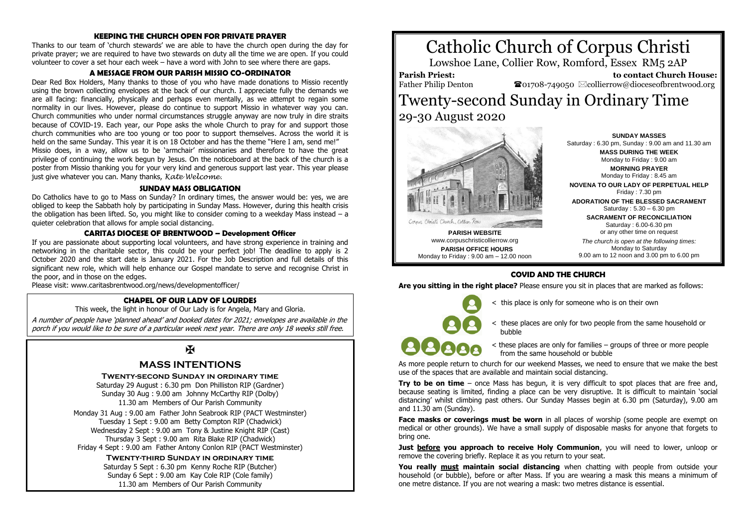#### **KEEPING THE CHURCH OPEN FOR PRIVATE PRAYER**

Thanks to our team of 'church stewards' we are able to have the church open during the day for private prayer; we are required to have two stewards on duty all the time we are open. If you could volunteer to cover a set hour each week – have a word with John to see where there are gaps.

#### **A MESSAGE FROM OUR PARISH MISSIO CO-ORDINATOR**

Dear Red Box Holders, Many thanks to those of you who have made donations to Missio recently using the brown collecting envelopes at the back of our church. I appreciate fully the demands we are all facing: financially, physically and perhaps even mentally, as we attempt to regain some normality in our lives. However, please do continue to support Missio in whatever way you can. Church communities who under normal circumstances struggle anyway are now truly in dire straits because of COVID-19. Each year, our Pope asks the whole Church to pray for and support those church communities who are too young or too poor to support themselves. Across the world it is held on the same Sunday. This year it is on 18 October and has the theme "Here I am, send me!" Missio does, in a way, allow us to be 'armchair' missionaries and therefore to have the great privilege of continuing the work begun by Jesus. On the noticeboard at the back of the church is a poster from Missio thanking you for your very kind and generous support last year. This year please just give whatever you can. Many thanks, *Kate Welcome.*

#### **SUNDAY MASS OBLIGATION**

Do Catholics have to go to Mass on Sunday? In ordinary times, the answer would be: yes, we are obliged to keep the Sabbath holy by participating in Sunday Mass. However, during this health crisis the obligation has been lifted. So, you might like to consider coming to a weekday Mass instead – a quieter celebration that allows for ample social distancing.

# **CARITAS DIOCESE OF BRENTWOOD – Development Officer**

If you are passionate about supporting local volunteers, and have strong experience in training and networking in the charitable sector, this could be your perfect job! The deadline to apply is 2 October 2020 and the start date is January 2021. For the Job Description and full details of this significant new role, which will help enhance our Gospel mandate to serve and recognise Christ in the poor, and in those on the edges.

Please visit: www.caritasbrentwood.org/news/developmentofficer/

#### **CHAPEL OF OUR LADY OF LOURDES**

This week, the light in honour of Our Lady is for Angela, Mary and Gloria.

A number of people have 'planned ahead' and booked dates for 2021; envelopes are available in the porch if you would like to be sure of a particular week next year. There are only 18 weeks still free.

# $\overline{\mathbf{X}}$

# **MASS INTENTIONS**

**Twenty-second Sunday in ordinary time**

Saturday 29 August : 6.30 pm Don Philliston RIP (Gardner) Sunday 30 Aug : 9.00 am Johnny McCarthy RIP (Dolby) 11.30 am Members of Our Parish Community

Monday 31 Aug : 9.00 am Father John Seabrook RIP (PACT Westminster) Tuesday 1 Sept : 9.00 am Betty Compton RIP (Chadwick) Wednesday 2 Sept : 9.00 am Tony & Justine Knight RIP (Cast) Thursday 3 Sept : 9.00 am Rita Blake RIP (Chadwick) Friday 4 Sept : 9.00 am Father Antony Conlon RIP (PACT Westminster)

> **Twenty-third Sunday in ordinary time** Saturday 5 Sept : 6.30 pm Kenny Roche RIP (Butcher) Sunday 6 Sept : 9.00 am Kay Cole RIP (Cole family) 11.30 am Members of Our Parish Community





**PARISH WEBSITE** www.corpuschristicollierrow.org **PARISH OFFICE HOURS** Monday to Friday : 9.00 am – 12.00 noon Saturday : 6.30 pm, Sunday : 9.00 am and 11.30 am **MASS DURING THE WEEK** Monday to Friday : 9.00 am **MORNING PRAYER** Monday to Friday : 8.45 am **NOVENA TO OUR LADY OF PERPETUAL HELP** Friday : 7.30 pm **ADORATION OF THE BLESSED SACRAMENT** Saturday : 5.30 – 6.30 pm **SACRAMENT OF RECONCILIATION** Saturday : 6.00-6.30 pm or any other time on request *The church is open at the following times:* Monday to Saturday

9.00 am to 12 noon and 3.00 pm to 6.00 pm

**COVID AND THE CHURCH**

**Are you sitting in the right place?** Please ensure you sit in places that are marked as follows:

this place is only for someone who is on their own

< these places are only for two people from the same household or bubble

Corner Christi Church, Collier Row

< these places are only for families – groups of three or more people from the same household or bubble

As more people return to church for our weekend Masses, we need to ensure that we make the best use of the spaces that are available and maintain social distancing.

**Try to be on time** – once Mass has begun, it is very difficult to spot places that are free and, because seating is limited, finding a place can be very disruptive. It is difficult to maintain 'social distancing' whilst climbing past others. Our Sunday Masses begin at 6.30 pm (Saturday), 9.00 am and 11.30 am (Sunday).

**Face masks or coverings must be worn** in all places of worship (some people are exempt on medical or other grounds). We have a small supply of disposable masks for anyone that forgets to bring one.

**Just before you approach to receive Holy Communion**, you will need to lower, unloop or remove the covering briefly. Replace it as you return to your seat.

**You really must maintain social distancing** when chatting with people from outside your household (or bubble), before or after Mass. If you are wearing a mask this means a minimum of one metre distance. If you are not wearing a mask: two metres distance is essential.